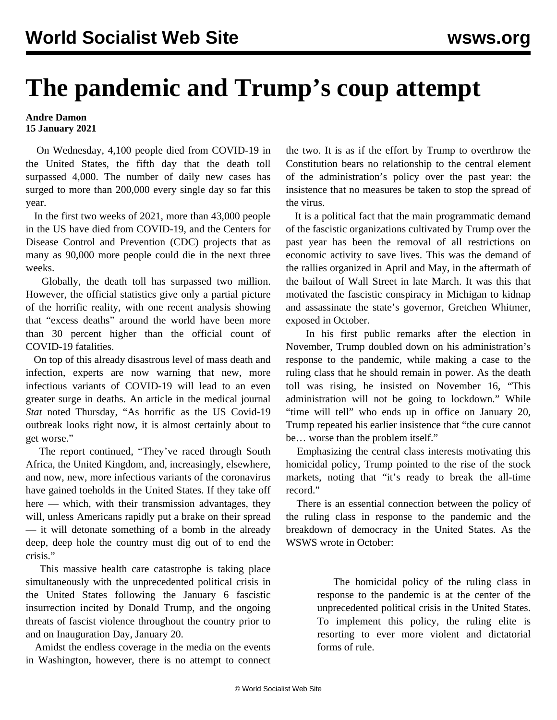## **The pandemic and Trump's coup attempt**

## **Andre Damon 15 January 2021**

 On Wednesday, 4,100 people died from COVID-19 in the United States, the fifth day that the death toll surpassed 4,000. The number of daily new cases has surged to more than 200,000 every single day so far this year.

 In the first two weeks of 2021, more than 43,000 people in the US have died from COVID-19, and the Centers for Disease Control and Prevention (CDC) projects that as many as 90,000 more people could die in the next three weeks.

 Globally, the death toll has surpassed two million. However, the official statistics give only a partial picture of the horrific reality, with one recent analysis showing that "excess deaths" around the world have been more than 30 percent higher than the official count of COVID-19 fatalities.

 On top of this already disastrous level of mass death and infection, experts are now warning that new, more infectious variants of COVID-19 will lead to an even greater surge in deaths. An article in the medical journal *Stat* noted Thursday, "As horrific as the US Covid-19 outbreak looks right now, it is almost certainly about to get worse."

 The report continued, "They've raced through South Africa, the United Kingdom, and, increasingly, elsewhere, and now, new, more infectious variants of the coronavirus have gained toeholds in the United States. If they take off here — which, with their transmission advantages, they will, unless Americans rapidly put a brake on their spread — it will detonate something of a bomb in the already deep, deep hole the country must dig out of to end the crisis."

 This massive health care catastrophe is taking place simultaneously with the unprecedented political crisis in the United States following the January 6 fascistic insurrection incited by Donald Trump, and the ongoing threats of fascist violence throughout the country prior to and on Inauguration Day, January 20.

 Amidst the endless coverage in the media on the events in Washington, however, there is no attempt to connect the two. It is as if the effort by Trump to overthrow the Constitution bears no relationship to the central element of the administration's policy over the past year: the insistence that no measures be taken to stop the spread of the virus.

 It is a political fact that the main programmatic demand of the fascistic organizations cultivated by Trump over the past year has been the removal of all restrictions on economic activity to save lives. This was the demand of the rallies organized in April and May, in the aftermath of the bailout of Wall Street in late March. It was this that motivated the fascistic conspiracy in Michigan to kidnap and assassinate the state's governor, Gretchen Whitmer, exposed in October.

 In his first public remarks after the election in November, Trump doubled down on his administration's response to the pandemic, while making a case to the ruling class that he should remain in power. As the death toll was rising, he insisted on November 16, "This administration will not be going to lockdown." While "time will tell" who ends up in office on January 20, Trump repeated his earlier insistence that "the cure cannot be… worse than the problem itself."

 Emphasizing the central class interests motivating this homicidal policy, Trump pointed to the rise of the stock markets, noting that "it's ready to break the all-time record."

 There is an essential connection between the policy of the ruling class in response to the pandemic and the breakdown of democracy in the United States. As the WSWS [wrote](/en/articles/2020/10/14/pers-o14.html) in October:

> The homicidal policy of the ruling class in response to the pandemic is at the center of the unprecedented political crisis in the United States. To implement this policy, the ruling elite is resorting to ever more violent and dictatorial forms of rule.